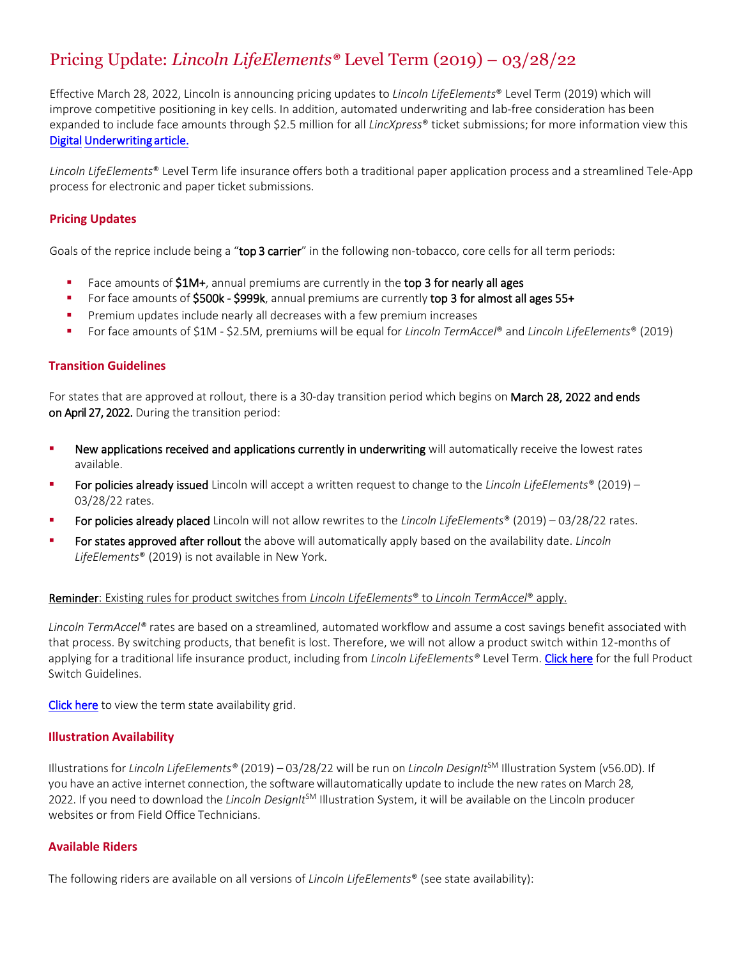# Pricing Update: *Lincoln LifeElements®* Level Term (2019) – 03/28/22

Effective March 28, 2022, Lincoln is announcing pricing updates to *Lincoln LifeElements*® Level Term (2019) which will improve competitive positioning in key cells. In addition, automated underwriting and lab-free consideration has been expanded to include face amounts through \$2.5 million for all *LincXpress*® ticket submissions; for more information view this Digital Underwriting article.

*Lincoln LifeElements*® Level Term life insurance offers both a traditional paper application process and a streamlined Tele-App pr[ocess for electronic and paper ticket submissions.](https://bit.ly/3TermAvailability) 

## **Pricing Updates**

Goals of the reprice include being a "top 3 carrier" in the following non-tobacco, core cells for all term periods:

- $\blacksquare$  Face amounts of  $$1M+$ , annual premiums are currently in the top 3 for nearly all ages
- For face amounts of \$500k \$999k, annual premiums are currently top 3 for almost all ages 55+
- **•** Premium updates include nearly all decreases with a few premium increases
- For face amounts of \$1M \$2.5M, premiums will be equal for *Lincoln TermAccel*® and *Lincoln LifeElements*® (2019)

### **Transition Guidelines**

For states that are approved at rollout, there is a 30-day transition period which begins on March 28, 2022 and ends on April 27, 2022. During the transition period:

- **New applications received and applications currently in underwriting** will automatically receive the lowest rates available.
- For policies already issued Lincoln will accept a written request to change to the *Lincoln LifeElements®* (2019) 03/28/22 rates.
- For policies already placed Lincoln will not allow rewrites to the *Lincoln LifeElements*® (2019) 03/28/22 rates.
- **Example 3** For states approved after rollout the above will automatically apply based on the availability date. *Lincoln LifeElements*® (2019) is not available in New York.

#### Reminder: Existing rules for product switches from *Lincoln LifeElements*® to *Lincoln TermAccel*® apply.

*Lincoln TermAccel®* rates are based on a streamlined, automated workflow and assume a cost savings benefit associated with that process. By switching products, that benefit is lost. Therefore, we will not allow a product switch within 12-m[onths of](https://lfg.workfrontdam.com/embedpdf.php?size=original&embedAssetId=w5v9lD4jLk393U0h)  ap[plying for a traditiona](https://lfg.workfrontdam.com/embedpdf.php?size=original&embedAssetId=w5v9lD4jLk393U0h)l life insurance product, including from *Lincoln LifeElements®* Level Term. Click here for the full Product Switch Guidelines.

Click here to view the term state availability grid.

#### **Illustration Availability**

Illustrations for *Lincoln LifeElements®* (2019) – 03/28/22 will be run on *Lincoln DesignIt*SM Illustration System (v56.0D). If you have an active internet connection, the software will automatically update to include the new rates on March 28, 2022. If you need to download the *Lincoln DesignIt*SM Illustration System, it will be available on the Lincoln producer websites or from Field Office Technicians.

#### **Available Riders**

The following riders are available on all versions of *Lincoln LifeElements*® (see state availability):